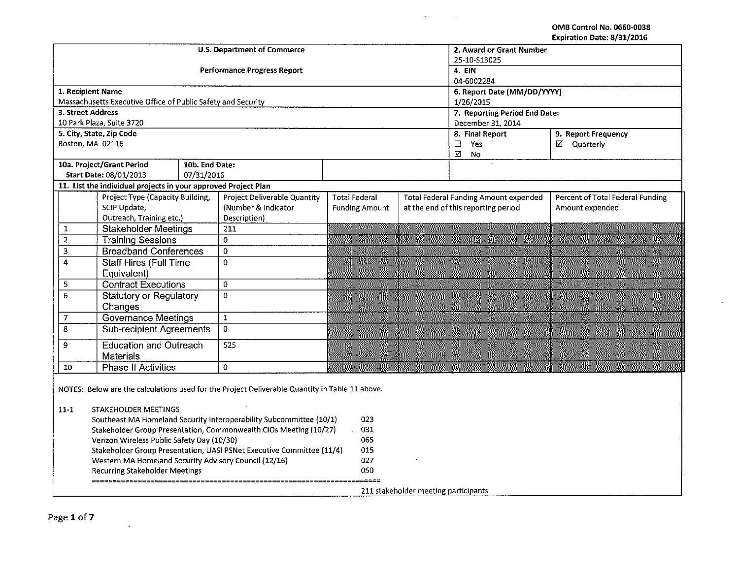OMB Control No. 0660-0038 Expiration Date: 8/31/2016

|                          |                                                                                                                                                                      |                | <b>U.S. Department of Commerce</b>                                                                                                                                                                                                                                                                                  |                                        |                                      | 2. Award or Grant Number<br>25-10-S13025     |                                  |
|--------------------------|----------------------------------------------------------------------------------------------------------------------------------------------------------------------|----------------|---------------------------------------------------------------------------------------------------------------------------------------------------------------------------------------------------------------------------------------------------------------------------------------------------------------------|----------------------------------------|--------------------------------------|----------------------------------------------|----------------------------------|
|                          |                                                                                                                                                                      |                | <b>Performance Progress Report</b>                                                                                                                                                                                                                                                                                  |                                        |                                      | 4. EIN<br>04-6002284                         |                                  |
| 1. Recipient Name        |                                                                                                                                                                      |                |                                                                                                                                                                                                                                                                                                                     |                                        |                                      | 6. Report Date (MM/DD/YYYY)                  |                                  |
|                          | Massachusetts Executive Office of Public Safety and Security                                                                                                         |                |                                                                                                                                                                                                                                                                                                                     |                                        |                                      | 1/26/2015                                    |                                  |
| 3. Street Address        |                                                                                                                                                                      |                |                                                                                                                                                                                                                                                                                                                     |                                        |                                      | 7. Reporting Period End Date:                |                                  |
|                          | 10 Park Plaza, Suite 3720                                                                                                                                            |                |                                                                                                                                                                                                                                                                                                                     |                                        |                                      | December 31, 2014                            |                                  |
| 5. City, State, Zip Code |                                                                                                                                                                      |                |                                                                                                                                                                                                                                                                                                                     |                                        |                                      | 8. Final Report                              | 9. Report Frequency              |
| Boston, MA 02116         |                                                                                                                                                                      |                |                                                                                                                                                                                                                                                                                                                     |                                        |                                      | Yes<br>$\Box$<br>N<br>No                     | ☑ Quarterly                      |
|                          | 10a. Project/Grant Period                                                                                                                                            | 10b. End Date: |                                                                                                                                                                                                                                                                                                                     |                                        |                                      |                                              |                                  |
|                          | <b>Start Date: 08/01/2013</b>                                                                                                                                        | 07/31/2016     |                                                                                                                                                                                                                                                                                                                     |                                        |                                      |                                              |                                  |
|                          | 11. List the individual projects in your approved Project Plan                                                                                                       |                |                                                                                                                                                                                                                                                                                                                     |                                        |                                      |                                              |                                  |
|                          | Project Type (Capacity Building,                                                                                                                                     |                | Project Deliverable Quantity                                                                                                                                                                                                                                                                                        | <b>Total Federal</b>                   |                                      | <b>Total Federal Funding Amount expended</b> | Percent of Total Federal Funding |
|                          | SCIP Update,                                                                                                                                                         |                | (Number & Indicator)                                                                                                                                                                                                                                                                                                | <b>Funding Amount</b>                  |                                      | at the end of this reporting period          | Amount expended                  |
|                          | Outreach, Training etc.)                                                                                                                                             |                | Description)                                                                                                                                                                                                                                                                                                        |                                        |                                      |                                              |                                  |
| $\mathbf 1$              | <b>Stakeholder Meetings</b>                                                                                                                                          |                | 211                                                                                                                                                                                                                                                                                                                 |                                        |                                      |                                              |                                  |
| $\overline{a}$           | <b>Training Sessions</b>                                                                                                                                             |                | 0                                                                                                                                                                                                                                                                                                                   |                                        |                                      |                                              |                                  |
| 3                        | <b>Broadband Conferences</b>                                                                                                                                         |                | 0                                                                                                                                                                                                                                                                                                                   | $\sim 100$                             |                                      |                                              |                                  |
| $\overline{4}$           | <b>Staff Hires (Full Time</b><br>Equivalent)                                                                                                                         |                | $\pmb{0}$                                                                                                                                                                                                                                                                                                           |                                        |                                      |                                              |                                  |
| 5                        | <b>Contract Executions</b>                                                                                                                                           |                | 0                                                                                                                                                                                                                                                                                                                   |                                        |                                      |                                              |                                  |
| 6                        | <b>Statutory or Regulatory</b><br>Changes                                                                                                                            |                | 0                                                                                                                                                                                                                                                                                                                   |                                        |                                      |                                              |                                  |
| $\overline{7}$           | <b>Governance Meetings</b>                                                                                                                                           |                | $\mathbf 1$                                                                                                                                                                                                                                                                                                         |                                        |                                      |                                              |                                  |
| 8                        | Sub-recipient Agreements                                                                                                                                             |                | $\mathbf{0}$                                                                                                                                                                                                                                                                                                        |                                        |                                      |                                              |                                  |
| 9                        | <b>Education and Outreach</b>                                                                                                                                        |                | 525                                                                                                                                                                                                                                                                                                                 |                                        |                                      |                                              |                                  |
|                          | <b>Materials</b>                                                                                                                                                     |                |                                                                                                                                                                                                                                                                                                                     |                                        |                                      |                                              |                                  |
| 10                       | <b>Phase II Activities</b>                                                                                                                                           |                | $\mathbf 0$                                                                                                                                                                                                                                                                                                         |                                        |                                      |                                              |                                  |
| $11 - 1$                 | STAKEHOLDER MEETINGS<br>Verizon Wireless Public Safety Day (10/30)<br>Western MA Homeland Security Advisory Council (12/16)<br><b>Recurring Stakeholder Meetings</b> |                | NOTES: Below are the calculations used for the Project Deliverable Quantity in Table 11 above.<br>Southeast MA Homeland Security Interoperability Subcommittee (10/1)<br>Stakeholder Group Presentation, Commonwealth CIOs Meeting (10/27)<br>Stakeholder Group Presentation, UASI PSNet Executive Committee (11/4) | 023<br>031<br>065<br>015<br>027<br>050 | 211 stakeholder meeting participants |                                              |                                  |

 $\hat{\mathbf{a}}$ 

 $\overline{\phantom{a}}$ 

 $\mathbf{A}$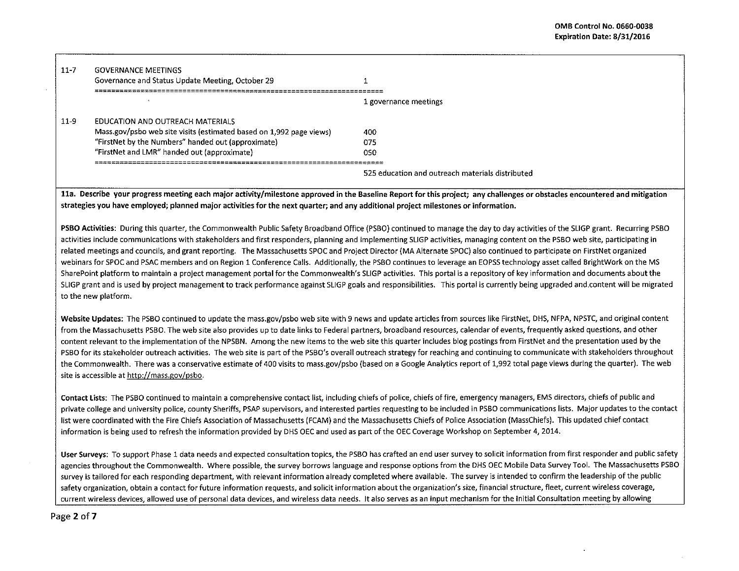| $11 - 7$ | <b>GOVERNANCE MEETINGS</b><br>Governance and Status Update Meeting, October 29 |                                                  |
|----------|--------------------------------------------------------------------------------|--------------------------------------------------|
|          |                                                                                | 1 governance meetings                            |
| $11-9$   | EDUCATION AND OUTREACH MATERIALS                                               |                                                  |
|          | Mass.gov/psbo web site visits (estimated based on 1,992 page views)            | 400                                              |
|          | "FirstNet by the Numbers" handed out (approximate)                             | 075                                              |
|          | "FirstNet and LMR" handed out (approximate)                                    | 050                                              |
|          |                                                                                |                                                  |
|          |                                                                                | 525 education and outreach materials distributed |
|          |                                                                                |                                                  |

lla. Describe your progress meeting each major activity/milestone approved in the Baseline Report for this project; any challenges or obstacles encountered and mitigation strategies you have employed; planned major activities for the next quarter; and any additional project milestones or information.

PSBO Activities: During this quarter, the Commonwealth Public Safety Broadband Office {PSBO) continued to manage the day to day activities of the SLIGP grant. Recurring PSBO activities include communications with stakeholders and first responders, planning and implementing SLIGP activities, managing content on the PSBO web site, participating in related meetings and councils, and grant reporting. The Massachusetts SPOC and Project Director {MA Alternate SPOC) also continued to participate on FirstNet organized webinars for SPOC and PSAC members and on Region 1 Conference Calls. Additionally, the PSBO continues to leverage an EOPSS technology asset called BrightWork on the MS SharePoint platform to maintain a project management portal for the Commonwealth's SLIGP activities. This portal is a repository of key information and documents about the SLIGP grant and is used by project management to track performance against SLIGP goals and responsibilities. This portal is currently being upgraded and content will be migrated to the new platform.

Website Updates: The PSBO continued to update the mass.gov/psbo web site with 9 news and update articles from sources like FirstNet, DHS, NFPA, NPSTC, and original content from the Massachusetts PSBO. The web site also provides up to date links to Federal partners, broadband resources, calendar of events, frequently asked questions, and other content relevant to the implementation of the NPSBN. Among the new items to the web site this quarter includes blog postings from FirstNet and the presentation used by the PSBO for its stakeholder outreach activities. The web site is part of the PSBO's overall outreach strategy for reaching and continuing to communicate with stakeholders throughout the Commonwealth. There was a conservative estimate of 400 visits to mass.gov/psbo (based on a Google Analytics report of 1,992 total page views during the quarter). The web site is accessible at http://mass.gov/psbo.

Contact Lists: The PSBO continued to maintain a comprehensive contact list, including chiefs of police, chiefs of fire, emergency managers, EMS directors, chiefs of public and private college and university police, county Sheriffs, PSAP supervisors, and interested parties requesting to be included in PSBO communications lists. Major updates to the contact list were coordinated with the Fire Chiefs Association of Massachusetts (FCAM) and the Massachusetts Chiefs of Police Association {MassChiefs). This updated chief contact information is being used to refresh the information provided by DHS DEC and used as part of the OEC Coverage Workshop on September 4, 2014.

User Surveys: To support Phase 1 data needs and expected consultation topics, the PSBO has crafted an end user survey to solicit information from first responder and public safety agencies throughout the Commonwealth. Where possible, the survey borrows language and response options from the DHS OEC Mobile Data Survey Tool. The Massachusetts PSBO survey is tailored for each responding department, with relevant information already completed where available. The survey is intended to confirm the leadership of the public safety organization, obtain a contact for future information requests, and solicit information about the organization's size, financial structure, fleet, current wireless coverage, current wireless devices, allowed use of personal data devices, and wireless data needs. Jt also serves as an input mechanism for the Initial Consultation meeting by allowing

Page 2 of 7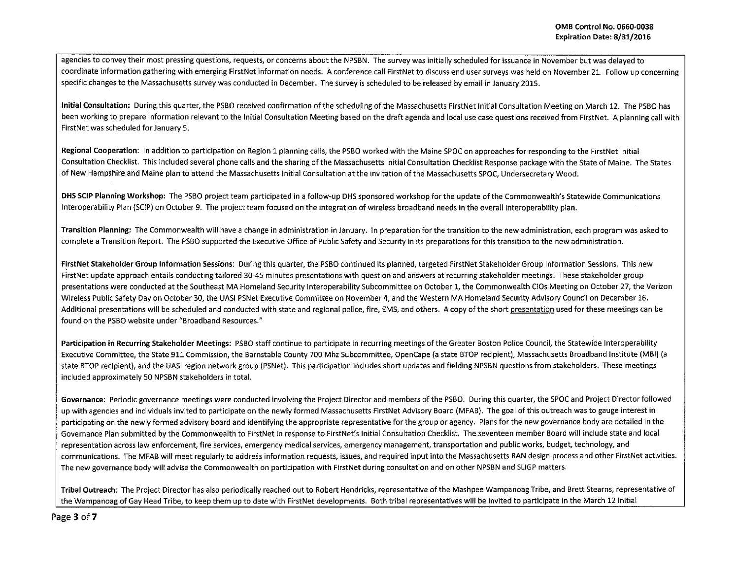agencies to convey their most pressing questions, requests, or concerns about the NPSBN. The survey was initially scheduled for issuance in November but was delayed to coordinate information gathering with emerging FirstNet information needs. A conference call FirstNet to discuss end user surveys was held on November 21. Follow up concerning specific changes to the Massachusetts survey was conducted in December. The survey is scheduled to be released by email in January 2015.

Initial Consultation: During this quarter, the PSBO received confirmation of the scheduling of the Massachusetts FirstNet Initial Consultation Meeting on March 12. The PSBO has been working to prepare information relevant to the Initial Consultation Meeting based on the draft agenda and local use case questions received from FirstNet. A planning call with FirstNet was scheduled for January 5.

Regional Cooperation: In addition to participation on Region 1 planning calls, the PSBO worked with the Maine SPOC on approaches for responding to the FirstNet Initial Consultation Checklist. This included several phone calls and the sharing of the Massachusetts Initial Consultation Checklist Response package with the State of Maine. The States of New Hampshire and Maine plan to attend the Massachusetts Initial Consultation at the invitation of the Massachusetts SPOC, Undersecretary Wood.

DHS SCIP Planning Workshop: The PSBO project team participated in a follow~up DHS sponsored workshop for the update of the Commonwealth's Statewide Communications lnteroperability Plan {SCIP) on October 9. The project team focused on the integration of wireless broadband needs in the overall interoperability plan.

Transition Planning: The Commonwealth will have a change in administration in January. In preparation for the transition to the new administration, each program was asked to complete a Transition Report. The PSBO supported the Executive Office of Public Safety and Security in its preparations for this transition to the new administration.

FirstNet Stakeholder Group Information Sessions: During this quarter, the PSBO continued its planned, targeted FirstNet Stakeholder Group Information Sessions. This new FirstNet update approach entails conducting tailored 30-45 minutes presentations with question and answers at recurring stakeholder meetings. These stakeholder group presentations were conducted at the Southeast MA Homeland Security lnteroperability Subcommittee on October 1, the Commonwealth CIOs Meeting on October 27, the Verizon Wireless Public Safety Day on October 30, the UASI PSNet Executive Committee on November 4, and the Western MA Homeland Security Advisory Council on December 16. Additional presentations will be scheduled and conducted with state and regional police, fire, EMS, and others. A copy of the short presentation used for these meetings can be found on the PSBO website under "Broadband Resources."

Participation in Recurring Stakeholder Meetings: PSBO staff continue to participate in recurring meetings of the Greater Boston Police Council, the Statewide Interoperability Executive Committee, the State 911 Commission, the Barnstable County 700 Mhz Subcommittee, OpenCape (a state STOP recipient), Massachusetts Broadband Institute (MBI) (a state BTOP recipient), and the UASI region network group (PSNet). This participation includes short updates and fielding NPSBN questions from stakeholders. These meetings included approximately 50 NPSBN stakeholders in total.

Governance: Periodic governance meetings were conducted involving the Project Director and members of the PSBO. During this quarter, the SPOC and Project Director followed up with agencies and individuals invited to participate on the newly formed Massachusetts FirstNet Advisory Board (MFAB). The goal of this outreach was to gauge interest in participating on the newly formed advisory board and identifying the appropriate representative for the group or agency. Plans for the new governance body are detailed in the Governance Plan submitted by the Commonwealth to FirstNet in response to FirstNet's Initial Consultation Checklist. The seventeen member Board will include state and local representation across law enforcement, fire services, emergency medical services, emergency management, transportation and public works, budget, technology, and communications. The MFAB will meet regularly to address information requests, issues, and required input into the Massachusetts RAN design process and other FirstNet activities. The new governance body will advise the Commonwealth on participation with FirstNet during consultation and on other NPSBN and SUGP matters.

Tribal Outreach: The Project Director has also periodically reached out to Robert Hendricks, representative of the Mashpee Wampanoag Tribe, and Brett Stearns, representative of the Wampanoag of Gay Head Tribe, to keep them up to date with FirstNet developments. Both tribal representatives will be invited to participate in the March 12 Initial

Page 3 of 7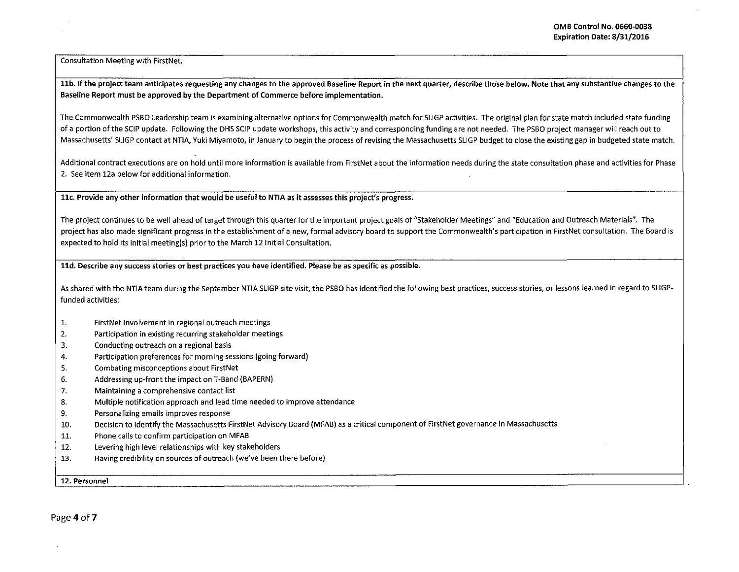Consultation Meeting with FirstNet.

11b. If the project team anticipates requesting any changes to the approved Baseline Report in the next quarter, describe those below. Note that any substantive changes to the Baseline Report must be approved by the Department of Commerce before implementation.

The Commonwealth PSBO leadership team is examining alternative options for Commonwealth match for SLIGP activities. The original plan for state match included state funding of a portion of the SCIP update. Following the OHS SCJP update workshops, this activity and corresponding funding are not needed. The PSBO project manager will reach out to Massachusetts' SUGP contact at NTIA, Yuki Miyamoto, in January to begin the process of revising the Massachusetts SLIGP budget to close the existing gap in budgeted state match.

Additional contract executions are on hold until more information is available from FirstNet about the information needs during the state consultation phase and activities for Phase 2. See item 12a below for additional information.

llc. Provide any other information that would be useful to NTIA as it assesses this project's progress.

The project continues to be well ahead of target through this quarter for the important project goals of "Stakeholder Meetings" and "Education and Outreach Materials". The project has also made significant progress in the establishment of a new, formal advisory board to support the Commonwealth's participation in FirstNet consultation. The Board is expected to hold its initial meeting(s) prior to the March 12 Initial Consultation.

ltd. Describe any success stories or best practices you have identified. Please be as specific as possible.

As shared with the NTIA team during the September NTIA SLIGP site visit, the PSBO has identified the following best practices, success stories, or lessons learned in regard to SLIGPfunded activities:

- 1. FirstNet Involvement in regional outreach meetings
- 2. Participation in existing recurring stakeholder meetings
- 3. Conducting outreach on a regional basis
- 4. Participation preferences for morning sessions (going forward)
- 5. Combating misconceptions about FirstNet
- 6. Addressing up-front the impact on T-Band (BAPERN)
- 7. Maintaining a comprehensive contact list
- 8. Multiple notification approach and lead time needed to improve attendance
- 9. Personalizing emails improves response
- 10. Decision to identify the Massachusetts FirstNet Advisory Board (MFAB) as a critical component of FirstNet governance in Massachusetts
- 11. Phone calls to confirm participation on MFAB
- 12. Levering high level relationships with key stakeholders
- 13. Having credibility on sources of outreach (we've been there before)

12. Personnel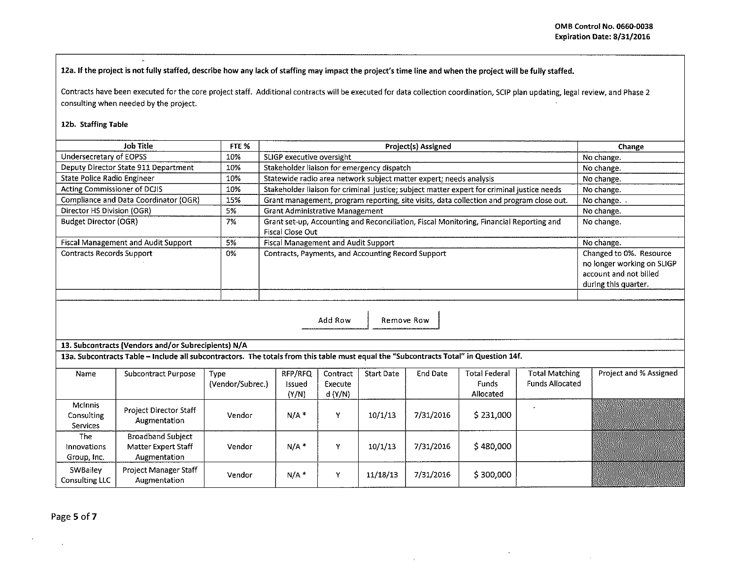12a. If the project is not fully staffed, describe how any lack of staffing may impact the project's time line and when the project will be fully staffed.

Contracts have been executed for the core project staff. Additional contracts will be executed for data collection coordination, SCIP plan updating, legal review, and Phase 2 consulting when needed by the project.

## 12b. Staffing Table

 $\mathbf{r}$ 

| Job Title                                  | FTE % | <b>Project(s) Assigned</b>                                                                                  | Change                                                                                                  |
|--------------------------------------------|-------|-------------------------------------------------------------------------------------------------------------|---------------------------------------------------------------------------------------------------------|
| Undersecretary of EOPSS                    | 10%   | SLIGP executive oversight                                                                                   | No change.                                                                                              |
| Deputy Director State 911 Department       | 10%   | Stakeholder liaison for emergency dispatch                                                                  | No change.                                                                                              |
| State Police Radio Engineer                | 10%   | Statewide radio area network subject matter expert; needs analysis                                          | No change.                                                                                              |
| Acting Commissioner of DCJIS               | 10%   | Stakeholder liaison for criminal justice; subject matter expert for criminal justice needs                  | No change.                                                                                              |
| Compliance and Data Coordinator (OGR)      | 15%   | Grant management, program reporting, site visits, data collection and program close out.                    | No change.                                                                                              |
| Director HS Division (OGR)                 | 5%    | <b>Grant Administrative Management</b>                                                                      | No change.                                                                                              |
| <b>Budget Director (OGR)</b>               | -7%   | Grant set-up, Accounting and Reconciliation, Fiscal Monitoring, Financial Reporting and<br>Fiscal Close Out | No change.                                                                                              |
| <b>Fiscal Management and Audit Support</b> | 5%    | Fiscal Management and Audit Support                                                                         | No change.                                                                                              |
| <b>Contracts Records Support</b>           | 0%    | Contracts, Payments, and Accounting Record Support                                                          | Changed to 0%. Resource<br>no longer working on SLIGP<br>account and not billed<br>during this quarter. |
|                                            |       |                                                                                                             |                                                                                                         |

Add Row | Remove Row

13. Subcontracts (Vendors and/or Subrecipients) N/A

13a. Subcontracts Table – Include all subcontractors. The totals from this table must equal the "Subcontracts Total" in Question 14f.

| Name                                     | Subcontract Purpose                                             | Type<br>(Vendor/Subrec.) | RFP/RFQ<br>Issued<br>(Y/N) | Contract<br>Execute<br>d (Y/N) | <b>Start Date</b> | End Date  | <b>Total Federal</b><br><b>Funds</b><br>Allocated | <b>Total Matching</b><br><b>Funds Allocated</b> | Project and % Assigned |
|------------------------------------------|-----------------------------------------------------------------|--------------------------|----------------------------|--------------------------------|-------------------|-----------|---------------------------------------------------|-------------------------------------------------|------------------------|
| <b>McInnis</b><br>Consulting<br>Services | <b>Project Director Staff</b><br>Augmentation                   | Vendor                   | $N/A$ <sup>*</sup>         |                                | 10/1/13           | 7/31/2016 | \$231,000                                         |                                                 |                        |
| The<br>Innovations<br>Group, Inc.        | <b>Broadband Subject</b><br>Matter Expert Staff<br>Augmentation | Vendor                   | N/A                        | v                              | 10/1/13           | 7/31/2016 | \$480,000                                         |                                                 |                        |
| SWBailey<br><b>Consulting LLC</b>        | <b>Project Manager Staff</b><br>Augmentation                    | Vendor                   | $N/A$ *                    | v                              | 11/18/13          | 7/31/2016 | \$300,000                                         |                                                 |                        |

Page 5 of 7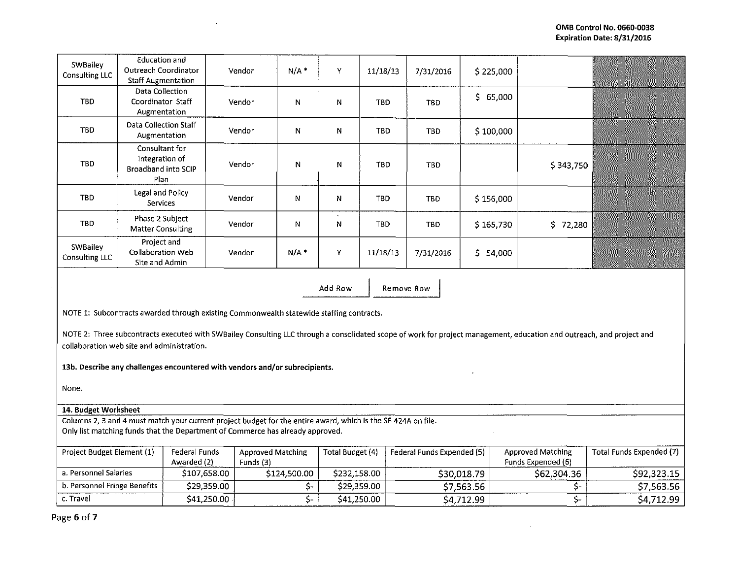| SWBailey<br><b>Consulting LLC</b>                     | Education and<br><b>Outreach Coordinator</b><br><b>Staff Augmentation</b> |                                                                                                                                                                                                 | Vendor                                | $N/A$ *      | Y                | 11/18/13   | 7/31/2016                  | \$225,000   |                                                                                                                                                                       |                                 |
|-------------------------------------------------------|---------------------------------------------------------------------------|-------------------------------------------------------------------------------------------------------------------------------------------------------------------------------------------------|---------------------------------------|--------------|------------------|------------|----------------------------|-------------|-----------------------------------------------------------------------------------------------------------------------------------------------------------------------|---------------------------------|
| TBD                                                   | Data Collection<br>Coordinator Staff<br>Augmentation                      |                                                                                                                                                                                                 | Vendor                                | N            | N                | <b>TBD</b> | <b>TBD</b>                 | \$65,000    |                                                                                                                                                                       |                                 |
| <b>TBD</b>                                            | Data Collection Staff<br>Augmentation                                     |                                                                                                                                                                                                 | Vendor                                | N            | N                | <b>TBD</b> | <b>TBD</b>                 | \$100,000   |                                                                                                                                                                       |                                 |
| <b>TBD</b>                                            | Consultant for<br>Integration of<br><b>Broadband into SCIP</b><br>Plan    |                                                                                                                                                                                                 | Vendor                                | N            | N                | <b>TBD</b> | <b>TBD</b>                 |             | \$343,750                                                                                                                                                             |                                 |
| <b>TBD</b>                                            | Legal and Policy<br><b>Services</b>                                       |                                                                                                                                                                                                 | Vendor                                | N            | N                | <b>TBD</b> | <b>TBD</b>                 | \$156,000   |                                                                                                                                                                       |                                 |
| TBD                                                   | Phase 2 Subject<br><b>Matter Consulting</b>                               |                                                                                                                                                                                                 | Vendor                                | N            | N                | <b>TBD</b> | <b>TBD</b>                 | \$165,730   | \$72,280                                                                                                                                                              |                                 |
| SWBailey<br>Consulting LLC                            | Project and<br>Collaboration Web<br>Site and Admin                        |                                                                                                                                                                                                 | Vendor                                | $N/A$ *      | Υ                | 11/18/13   | 7/31/2016                  | \$54,000    |                                                                                                                                                                       |                                 |
|                                                       |                                                                           |                                                                                                                                                                                                 |                                       |              | Add Row          |            | Remove Row                 |             |                                                                                                                                                                       |                                 |
|                                                       |                                                                           | NOTE 1: Subcontracts awarded through existing Commonwealth statewide staffing contracts.<br>13b. Describe any challenges encountered with vendors and/or subrecipients.                         |                                       |              |                  |            |                            |             | NOTE 2: Three subcontracts executed with SWBailey Consulting LLC through a consolidated scope of work for project management, education and outreach, and project and |                                 |
| collaboration web site and administration.<br>None.   |                                                                           |                                                                                                                                                                                                 |                                       |              |                  |            |                            |             |                                                                                                                                                                       |                                 |
| 14. Budget Worksheet                                  |                                                                           |                                                                                                                                                                                                 |                                       |              |                  |            |                            |             |                                                                                                                                                                       |                                 |
|                                                       |                                                                           | Columns 2, 3 and 4 must match your current project budget for the entire award, which is the SF-424A on file.<br>Only list matching funds that the Department of Commerce has already approved. |                                       |              |                  |            |                            |             |                                                                                                                                                                       |                                 |
| Project Budget Element (1)                            |                                                                           | Federal Funds<br>Awarded (2)                                                                                                                                                                    | <b>Approved Matching</b><br>Funds (3) |              | Total Budget (4) |            | Federal Funds Expended (5) |             | <b>Approved Matching</b><br>Funds Expended (6)                                                                                                                        | <b>Total Funds Expended (7)</b> |
|                                                       |                                                                           | \$107,658.00                                                                                                                                                                                    |                                       | \$124,500.00 | \$232,158.00     |            |                            | \$30,018.79 | \$62,304.36                                                                                                                                                           | \$92,323.15                     |
| a. Personnel Salaries<br>b. Personnel Fringe Benefits |                                                                           | \$29,359.00                                                                                                                                                                                     |                                       | \$-          | \$29,359.00      |            |                            | \$7,563.56  | \$-                                                                                                                                                                   | \$7,563.56                      |

 $\langle \cdot \rangle$